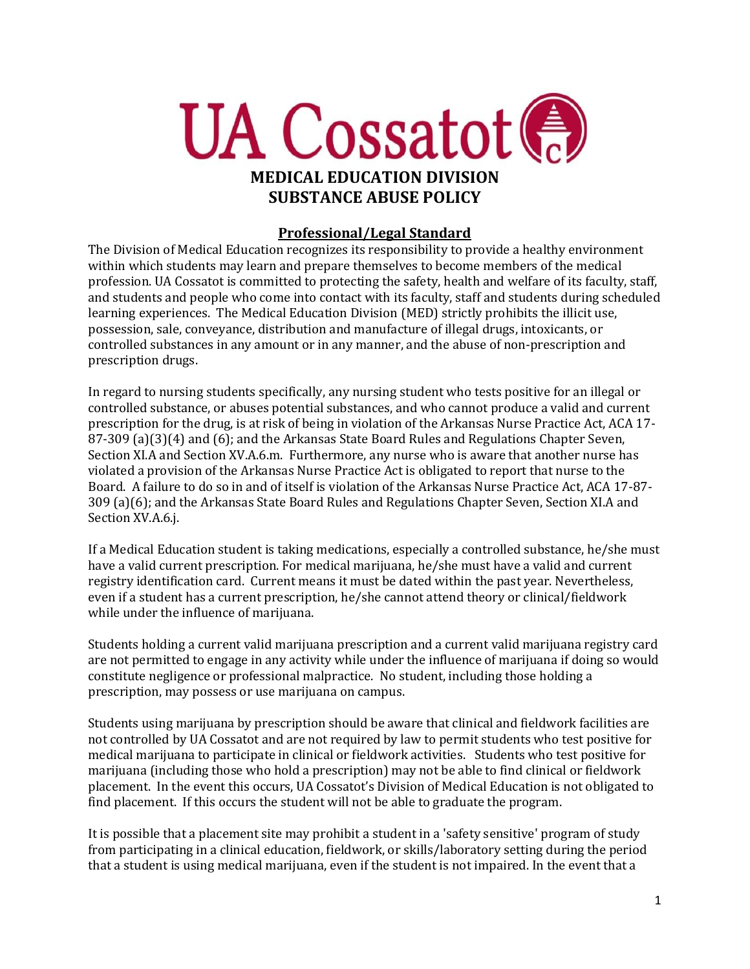

# **Professional/Legal Standard**

The Division of Medical Education recognizes its responsibility to provide a healthy environment within which students may learn and prepare themselves to become members of the medical profession. UA Cossatot is committed to protecting the safety, health and welfare of its faculty, staff, and students and people who come into contact with its faculty, staff and students during scheduled learning experiences. The Medical Education Division (MED) strictly prohibits the illicit use, possession, sale, conveyance, distribution and manufacture of illegal drugs, intoxicants, or controlled substances in any amount or in any manner, and the abuse of non-prescription and prescription drugs.

In regard to nursing students specifically, any nursing student who tests positive for an illegal or controlled substance, or abuses potential substances, and who cannot produce a valid and current prescription for the drug, is at risk of being in violation of the Arkansas Nurse Practice Act, ACA 17- 87-309 (a)(3)(4) and (6); and the Arkansas State Board Rules and Regulations Chapter Seven, Section XI.A and Section XV.A.6.m. Furthermore, any nurse who is aware that another nurse has violated a provision of the Arkansas Nurse Practice Act is obligated to report that nurse to the Board. A failure to do so in and of itself is violation of the Arkansas Nurse Practice Act, ACA 17-87- 309 (a)(6); and the Arkansas State Board Rules and Regulations Chapter Seven, Section XI.A and Section XV.A.6.j.

If a Medical Education student is taking medications, especially a controlled substance, he/she must have a valid current prescription. For medical marijuana, he/she must have a valid and current registry identification card. Current means it must be dated within the past year. Nevertheless, even if a student has a current prescription, he/she cannot attend theory or clinical/fieldwork while under the influence of marijuana.

Students holding a current valid marijuana prescription and a current valid marijuana registry card are not permitted to engage in any activity while under the influence of marijuana if doing so would constitute negligence or professional malpractice. No student, including those holding a prescription, may possess or use marijuana on campus.

Students using marijuana by prescription should be aware that clinical and fieldwork facilities are not controlled by UA Cossatot and are not required by law to permit students who test positive for medical marijuana to participate in clinical or fieldwork activities. Students who test positive for marijuana (including those who hold a prescription) may not be able to find clinical or fieldwork placement. In the event this occurs, UA Cossatot's Division of Medical Education is not obligated to find placement. If this occurs the student will not be able to graduate the program.

It is possible that a placement site may prohibit a student in a 'safety sensitive' program of study from participating in a clinical education, fieldwork, or skills/laboratory setting during the period that a student is using medical marijuana, even if the student is not impaired. In the event that a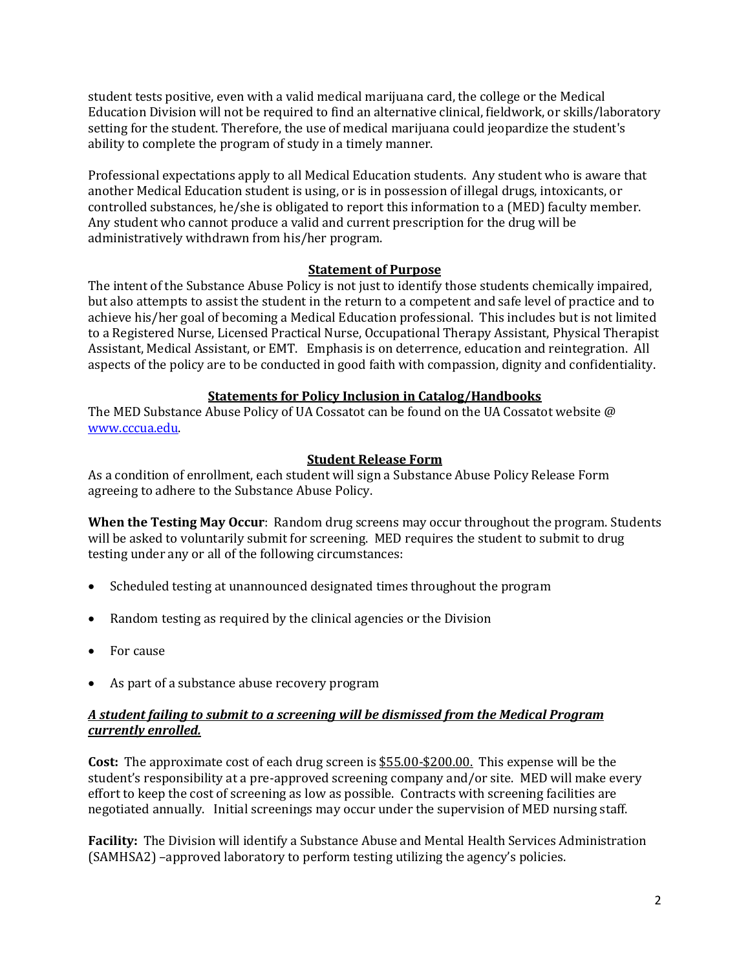student tests positive, even with a valid medical marijuana card, the college or the Medical Education Division will not be required to find an alternative clinical, fieldwork, or skills/laboratory setting for the student. Therefore, the use of medical marijuana could jeopardize the student's ability to complete the program of study in a timely manner.

Professional expectations apply to all Medical Education students. Any student who is aware that another Medical Education student is using, or is in possession of illegal drugs, intoxicants, or controlled substances, he/she is obligated to report this information to a (MED) faculty member. Any student who cannot produce a valid and current prescription for the drug will be administratively withdrawn from his/her program.

## **Statement of Purpose**

The intent of the Substance Abuse Policy is not just to identify those students chemically impaired, but also attempts to assist the student in the return to a competent and safe level of practice and to achieve his/her goal of becoming a Medical Education professional. This includes but is not limited to a Registered Nurse, Licensed Practical Nurse, Occupational Therapy Assistant, Physical Therapist Assistant, Medical Assistant, or EMT. Emphasis is on deterrence, education and reintegration. All aspects of the policy are to be conducted in good faith with compassion, dignity and confidentiality.

### **Statements for Policy Inclusion in Catalog/Handbooks**

The MED Substance Abuse Policy of UA Cossatot can be found on the UA Cossatot website @ [www.cccua.edu.](http://www.cccua.edu/)

### **Student Release Form**

As a condition of enrollment, each student will sign a Substance Abuse Policy Release Form agreeing to adhere to the Substance Abuse Policy.

**When the Testing May Occur**:Random drug screens may occur throughout the program. Students will be asked to voluntarily submit for screening. MED requires the student to submit to drug testing under any or all of the following circumstances:

- Scheduled testing at unannounced designated times throughout the program
- Random testing as required by the clinical agencies or the Division
- For cause
- As part of a substance abuse recovery program

### *A student failing to submit to a screening will be dismissed from the Medical Program currently enrolled.*

**Cost:** The approximate cost of each drug screen is \$55.00-\$200.00. This expense will be the student's responsibility at a pre-approved screening company and/or site. MED will make every effort to keep the cost of screening as low as possible. Contracts with screening facilities are negotiated annually. Initial screenings may occur under the supervision of MED nursing staff.

**Facility:** The Division will identify a Substance Abuse and Mental Health Services Administration (SAMHSA2) –approved laboratory to perform testing utilizing the agency's policies.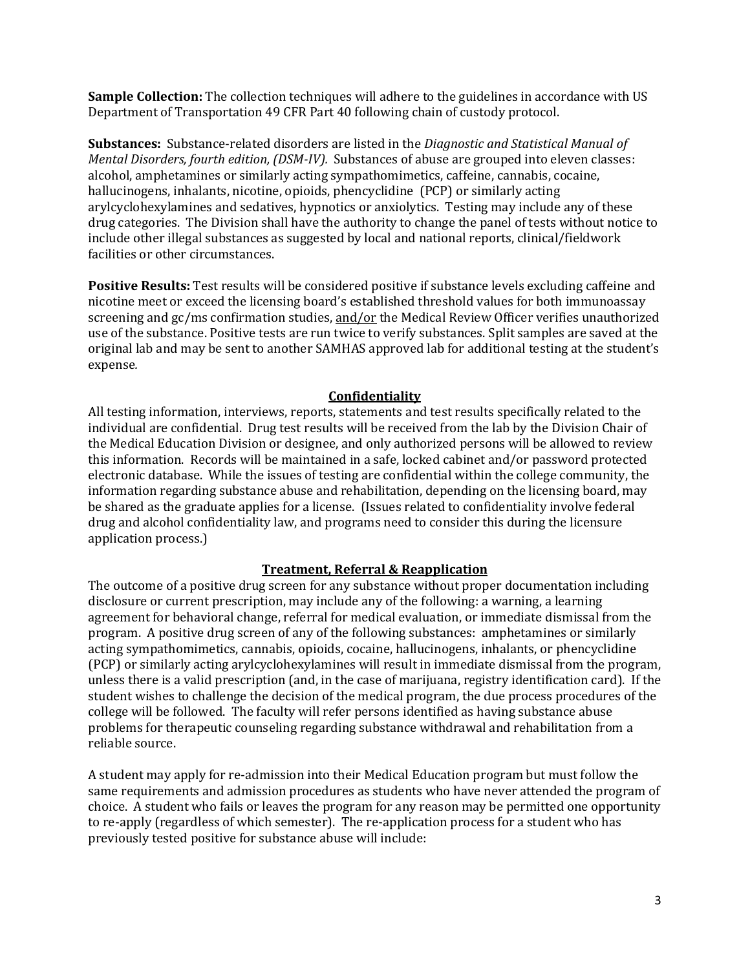**Sample Collection:** The collection techniques will adhere to the guidelines in accordance with US Department of Transportation 49 CFR Part 40 following chain of custody protocol.

**Substances:** Substance-related disorders are listed in the *Diagnostic and Statistical Manual of Mental Disorders, fourth edition, (DSM-IV).* Substances of abuse are grouped into eleven classes: alcohol, amphetamines or similarly acting sympathomimetics, caffeine, cannabis, cocaine, hallucinogens, inhalants, nicotine, opioids, phencyclidine (PCP) or similarly acting arylcyclohexylamines and sedatives, hypnotics or anxiolytics. Testing may include any of these drug categories. The Division shall have the authority to change the panel of tests without notice to include other illegal substances as suggested by local and national reports, clinical/fieldwork facilities or other circumstances.

**Positive Results:** Test results will be considered positive if substance levels excluding caffeine and nicotine meet or exceed the licensing board's established threshold values for both immunoassay screening and gc/ms confirmation studies, and/or the Medical Review Officer verifies unauthorized use of the substance. Positive tests are run twice to verify substances. Split samples are saved at the original lab and may be sent to another SAMHAS approved lab for additional testing at the student's expense*.* 

## **Confidentiality**

All testing information, interviews, reports, statements and test results specifically related to the individual are confidential. Drug test results will be received from the lab by the Division Chair of the Medical Education Division or designee, and only authorized persons will be allowed to review this information. Records will be maintained in a safe, locked cabinet and/or password protected electronic database. While the issues of testing are confidential within the college community, the information regarding substance abuse and rehabilitation, depending on the licensing board, may be shared as the graduate applies for a license. (Issues related to confidentiality involve federal drug and alcohol confidentiality law, and programs need to consider this during the licensure application process.)

## **Treatment, Referral & Reapplication**

The outcome of a positive drug screen for any substance without proper documentation including disclosure or current prescription, may include any of the following: a warning, a learning agreement for behavioral change, referral for medical evaluation, or immediate dismissal from the program. A positive drug screen of any of the following substances: amphetamines or similarly acting sympathomimetics, cannabis, opioids, cocaine, hallucinogens, inhalants, or phencyclidine (PCP) or similarly acting arylcyclohexylamines will result in immediate dismissal from the program, unless there is a valid prescription (and, in the case of marijuana, registry identification card). If the student wishes to challenge the decision of the medical program, the due process procedures of the college will be followed. The faculty will refer persons identified as having substance abuse problems for therapeutic counseling regarding substance withdrawal and rehabilitation from a reliable source.

A student may apply for re-admission into their Medical Education program but must follow the same requirements and admission procedures as students who have never attended the program of choice. A student who fails or leaves the program for any reason may be permitted one opportunity to re-apply (regardless of which semester). The re-application process for a student who has previously tested positive for substance abuse will include: